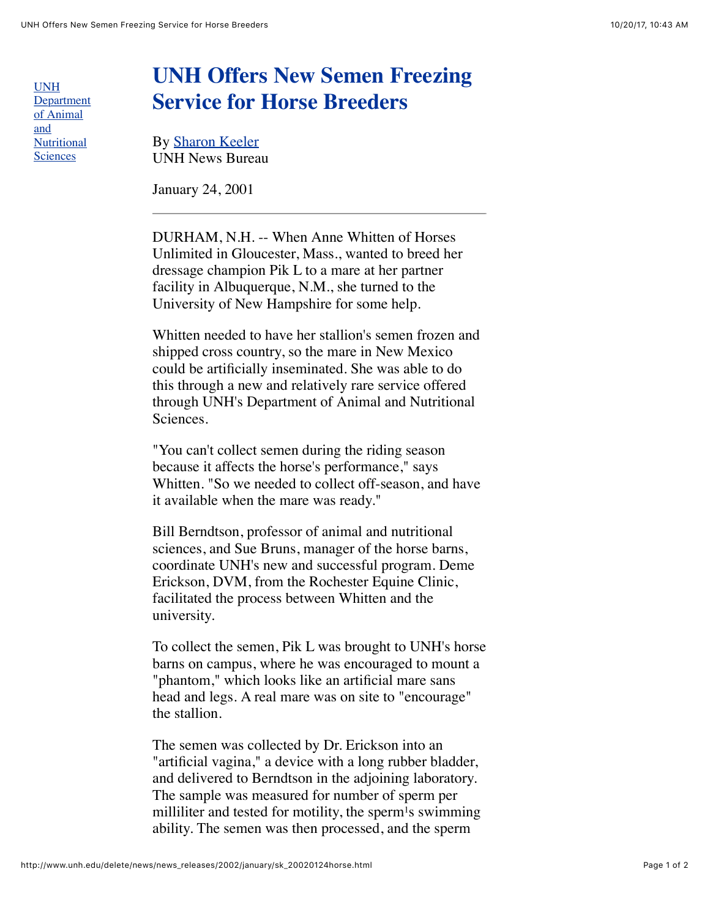UNH [Department](http://www.anscandnutr.unh.edu/) of Animal and **Nutritional Sciences** 

## **UNH Offers New Semen Freezing Service for Horse Breeders**

By [Sharon Keeler](mailto:sjkeeler@cisunix.unh.edu) UNH News Bureau

January 24, 2001

DURHAM, N.H. -- When Anne Whitten of Horses Unlimited in Gloucester, Mass., wanted to breed her dressage champion Pik L to a mare at her partner facility in Albuquerque, N.M., she turned to the University of New Hampshire for some help.

Whitten needed to have her stallion's semen frozen and shipped cross country, so the mare in New Mexico could be artificially inseminated. She was able to do this through a new and relatively rare service offered through UNH's Department of Animal and Nutritional Sciences.

"You can't collect semen during the riding season because it affects the horse's performance," says Whitten. "So we needed to collect off-season, and have it available when the mare was ready."

Bill Berndtson, professor of animal and nutritional sciences, and Sue Bruns, manager of the horse barns, coordinate UNH's new and successful program. Deme Erickson, DVM, from the Rochester Equine Clinic, facilitated the process between Whitten and the university.

To collect the semen, Pik L was brought to UNH's horse barns on campus, where he was encouraged to mount a "phantom," which looks like an artificial mare sans head and legs. A real mare was on site to "encourage" the stallion.

The semen was collected by Dr. Erickson into an "artificial vagina," a device with a long rubber bladder, and delivered to Berndtson in the adjoining laboratory. The sample was measured for number of sperm per milliliter and tested for motility, the sperm<sup>1</sup>s swimming ability. The semen was then processed, and the sperm